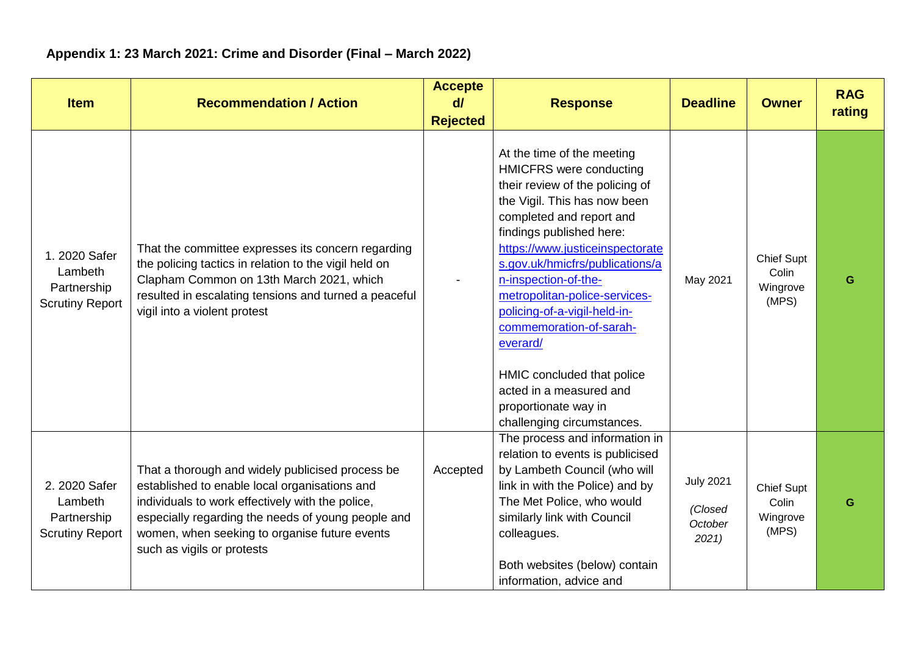## **Appendix 1: 23 March 2021: Crime and Disorder (Final – March 2022)**

| <b>Item</b>                                                       | <b>Recommendation / Action</b>                                                                                                                                                                                                                                                             | <b>Accepte</b><br>$d\vec{l}$<br><b>Rejected</b> | <b>Response</b>                                                                                                                                                                                                                                                                                                                                                                                                                                                                                              | <b>Deadline</b>                                | <b>Owner</b>                                    | <b>RAG</b><br>rating |
|-------------------------------------------------------------------|--------------------------------------------------------------------------------------------------------------------------------------------------------------------------------------------------------------------------------------------------------------------------------------------|-------------------------------------------------|--------------------------------------------------------------------------------------------------------------------------------------------------------------------------------------------------------------------------------------------------------------------------------------------------------------------------------------------------------------------------------------------------------------------------------------------------------------------------------------------------------------|------------------------------------------------|-------------------------------------------------|----------------------|
| 1. 2020 Safer<br>Lambeth<br>Partnership<br><b>Scrutiny Report</b> | That the committee expresses its concern regarding<br>the policing tactics in relation to the vigil held on<br>Clapham Common on 13th March 2021, which<br>resulted in escalating tensions and turned a peaceful<br>vigil into a violent protest                                           |                                                 | At the time of the meeting<br><b>HMICFRS</b> were conducting<br>their review of the policing of<br>the Vigil. This has now been<br>completed and report and<br>findings published here:<br>https://www.justiceinspectorate<br>s.gov.uk/hmicfrs/publications/a<br>n-inspection-of-the-<br>metropolitan-police-services-<br>policing-of-a-vigil-held-in-<br>commemoration-of-sarah-<br>everard/<br>HMIC concluded that police<br>acted in a measured and<br>proportionate way in<br>challenging circumstances. | May 2021                                       | <b>Chief Supt</b><br>Colin<br>Wingrove<br>(MPS) | G                    |
| 2. 2020 Safer<br>Lambeth<br>Partnership<br><b>Scrutiny Report</b> | That a thorough and widely publicised process be<br>established to enable local organisations and<br>individuals to work effectively with the police,<br>especially regarding the needs of young people and<br>women, when seeking to organise future events<br>such as vigils or protests | Accepted                                        | The process and information in<br>relation to events is publicised<br>by Lambeth Council (who will<br>link in with the Police) and by<br>The Met Police, who would<br>similarly link with Council<br>colleagues.<br>Both websites (below) contain<br>information, advice and                                                                                                                                                                                                                                 | <b>July 2021</b><br>(Closed<br>October<br>2021 | <b>Chief Supt</b><br>Colin<br>Wingrove<br>(MPS) | G                    |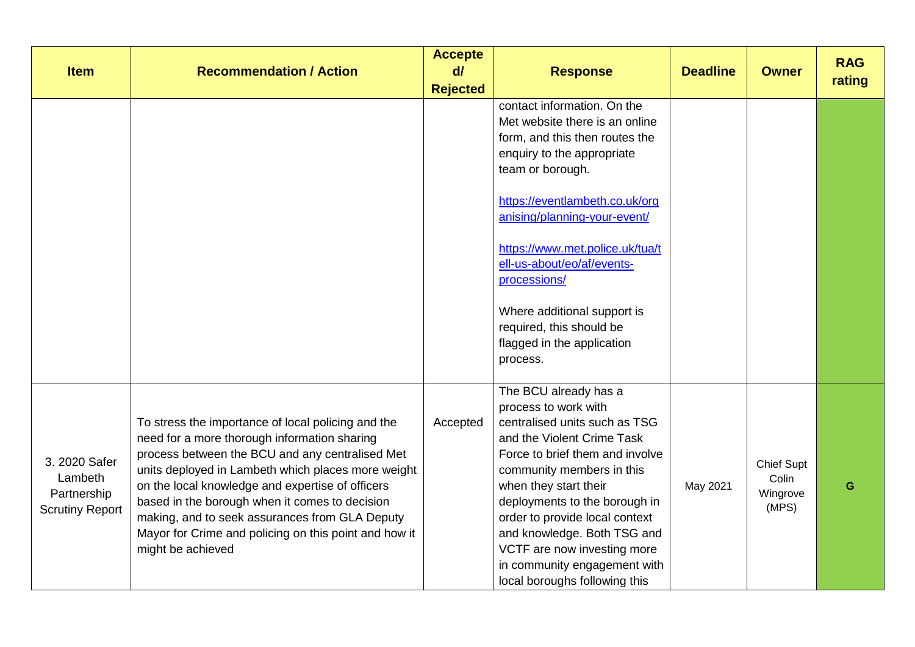| <b>Item</b>                                                       | <b>Recommendation / Action</b>                                                                                                                                                                                                                                                                                                                                                                                                                    | <b>Accepte</b><br>d/ | <b>Response</b>                                                                                                                                                                                                                                                                                                                                                                                           | <b>Deadline</b> | <b>Owner</b>                             | <b>RAG</b><br>rating |
|-------------------------------------------------------------------|---------------------------------------------------------------------------------------------------------------------------------------------------------------------------------------------------------------------------------------------------------------------------------------------------------------------------------------------------------------------------------------------------------------------------------------------------|----------------------|-----------------------------------------------------------------------------------------------------------------------------------------------------------------------------------------------------------------------------------------------------------------------------------------------------------------------------------------------------------------------------------------------------------|-----------------|------------------------------------------|----------------------|
|                                                                   |                                                                                                                                                                                                                                                                                                                                                                                                                                                   | <b>Rejected</b>      | contact information. On the<br>Met website there is an online<br>form, and this then routes the<br>enquiry to the appropriate<br>team or borough.<br>https://eventlambeth.co.uk/org<br>anising/planning-your-event/<br>https://www.met.police.uk/tua/t<br>ell-us-about/eo/af/events-<br>processions/<br>Where additional support is<br>required, this should be<br>flagged in the application<br>process. |                 |                                          |                      |
| 3. 2020 Safer<br>Lambeth<br>Partnership<br><b>Scrutiny Report</b> | To stress the importance of local policing and the<br>need for a more thorough information sharing<br>process between the BCU and any centralised Met<br>units deployed in Lambeth which places more weight<br>on the local knowledge and expertise of officers<br>based in the borough when it comes to decision<br>making, and to seek assurances from GLA Deputy<br>Mayor for Crime and policing on this point and how it<br>might be achieved | Accepted             | The BCU already has a<br>process to work with<br>centralised units such as TSG<br>and the Violent Crime Task<br>Force to brief them and involve<br>community members in this<br>when they start their<br>deployments to the borough in<br>order to provide local context<br>and knowledge. Both TSG and<br>VCTF are now investing more<br>in community engagement with<br>local boroughs following this   | May 2021        | Chief Supt<br>Colin<br>Wingrove<br>(MPS) | G                    |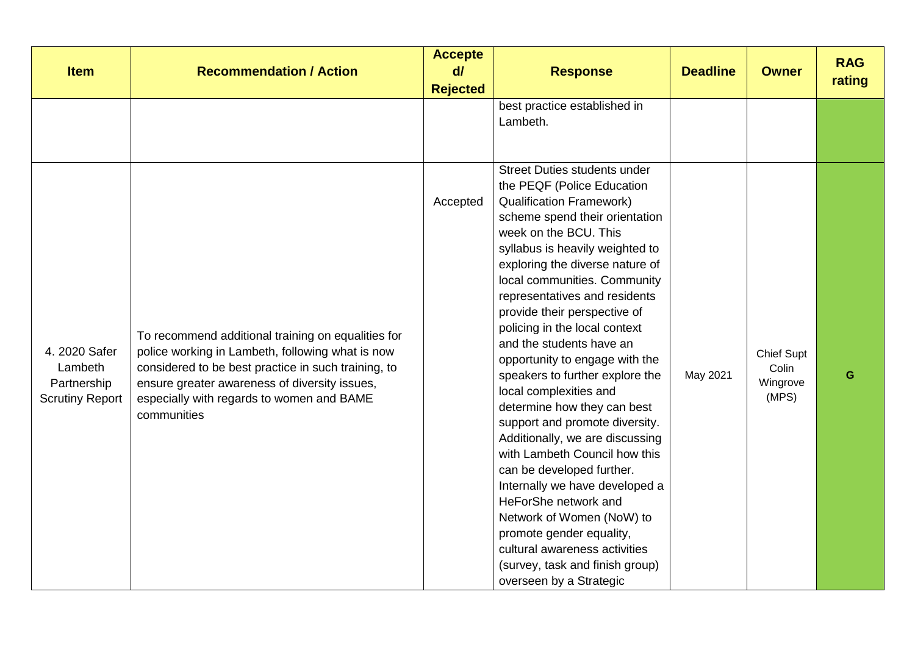| <b>Item</b>                                                       | <b>Recommendation / Action</b>                                                                                                                                                                                                                                             | <b>Accepte</b><br>$d\ell$<br><b>Rejected</b> | <b>Response</b>                                                                                                                                                                                                                                                                                                                                                                                                                                                                                                                                                                                                                                                                                                                                                                                                                                                                        | <b>Deadline</b> | <b>Owner</b>                                    | <b>RAG</b><br>rating |
|-------------------------------------------------------------------|----------------------------------------------------------------------------------------------------------------------------------------------------------------------------------------------------------------------------------------------------------------------------|----------------------------------------------|----------------------------------------------------------------------------------------------------------------------------------------------------------------------------------------------------------------------------------------------------------------------------------------------------------------------------------------------------------------------------------------------------------------------------------------------------------------------------------------------------------------------------------------------------------------------------------------------------------------------------------------------------------------------------------------------------------------------------------------------------------------------------------------------------------------------------------------------------------------------------------------|-----------------|-------------------------------------------------|----------------------|
|                                                                   |                                                                                                                                                                                                                                                                            |                                              | best practice established in<br>Lambeth.                                                                                                                                                                                                                                                                                                                                                                                                                                                                                                                                                                                                                                                                                                                                                                                                                                               |                 |                                                 |                      |
| 4. 2020 Safer<br>Lambeth<br>Partnership<br><b>Scrutiny Report</b> | To recommend additional training on equalities for<br>police working in Lambeth, following what is now<br>considered to be best practice in such training, to<br>ensure greater awareness of diversity issues,<br>especially with regards to women and BAME<br>communities | Accepted                                     | <b>Street Duties students under</b><br>the PEQF (Police Education<br><b>Qualification Framework)</b><br>scheme spend their orientation<br>week on the BCU. This<br>syllabus is heavily weighted to<br>exploring the diverse nature of<br>local communities. Community<br>representatives and residents<br>provide their perspective of<br>policing in the local context<br>and the students have an<br>opportunity to engage with the<br>speakers to further explore the<br>local complexities and<br>determine how they can best<br>support and promote diversity.<br>Additionally, we are discussing<br>with Lambeth Council how this<br>can be developed further.<br>Internally we have developed a<br>HeForShe network and<br>Network of Women (NoW) to<br>promote gender equality,<br>cultural awareness activities<br>(survey, task and finish group)<br>overseen by a Strategic | May 2021        | <b>Chief Supt</b><br>Colin<br>Wingrove<br>(MPS) | G                    |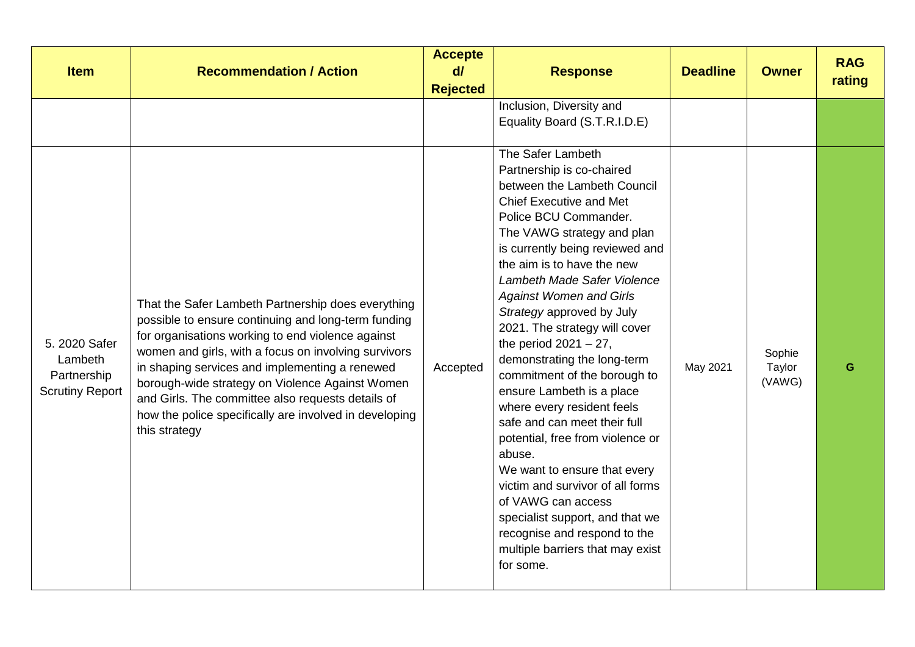| <b>Item</b>                                                       | <b>Recommendation / Action</b>                                                                                                                                                                                                                                                                                                                                                                                                                              | <b>Accepte</b><br>$d\vec{l}$<br><b>Rejected</b> | <b>Response</b>                                                                                                                                                                                                                                                                                                                                                                                                                                                                                                                                                                                                                                                                                                                                                                                                          | <b>Deadline</b> | <b>Owner</b>               | <b>RAG</b><br>rating |
|-------------------------------------------------------------------|-------------------------------------------------------------------------------------------------------------------------------------------------------------------------------------------------------------------------------------------------------------------------------------------------------------------------------------------------------------------------------------------------------------------------------------------------------------|-------------------------------------------------|--------------------------------------------------------------------------------------------------------------------------------------------------------------------------------------------------------------------------------------------------------------------------------------------------------------------------------------------------------------------------------------------------------------------------------------------------------------------------------------------------------------------------------------------------------------------------------------------------------------------------------------------------------------------------------------------------------------------------------------------------------------------------------------------------------------------------|-----------------|----------------------------|----------------------|
|                                                                   |                                                                                                                                                                                                                                                                                                                                                                                                                                                             |                                                 | Inclusion, Diversity and<br>Equality Board (S.T.R.I.D.E)                                                                                                                                                                                                                                                                                                                                                                                                                                                                                                                                                                                                                                                                                                                                                                 |                 |                            |                      |
| 5. 2020 Safer<br>Lambeth<br>Partnership<br><b>Scrutiny Report</b> | That the Safer Lambeth Partnership does everything<br>possible to ensure continuing and long-term funding<br>for organisations working to end violence against<br>women and girls, with a focus on involving survivors<br>in shaping services and implementing a renewed<br>borough-wide strategy on Violence Against Women<br>and Girls. The committee also requests details of<br>how the police specifically are involved in developing<br>this strategy | Accepted                                        | The Safer Lambeth<br>Partnership is co-chaired<br>between the Lambeth Council<br><b>Chief Executive and Met</b><br>Police BCU Commander.<br>The VAWG strategy and plan<br>is currently being reviewed and<br>the aim is to have the new<br>Lambeth Made Safer Violence<br><b>Against Women and Girls</b><br>Strategy approved by July<br>2021. The strategy will cover<br>the period $2021 - 27$ ,<br>demonstrating the long-term<br>commitment of the borough to<br>ensure Lambeth is a place<br>where every resident feels<br>safe and can meet their full<br>potential, free from violence or<br>abuse.<br>We want to ensure that every<br>victim and survivor of all forms<br>of VAWG can access<br>specialist support, and that we<br>recognise and respond to the<br>multiple barriers that may exist<br>for some. | May 2021        | Sophie<br>Taylor<br>(VAWG) | G                    |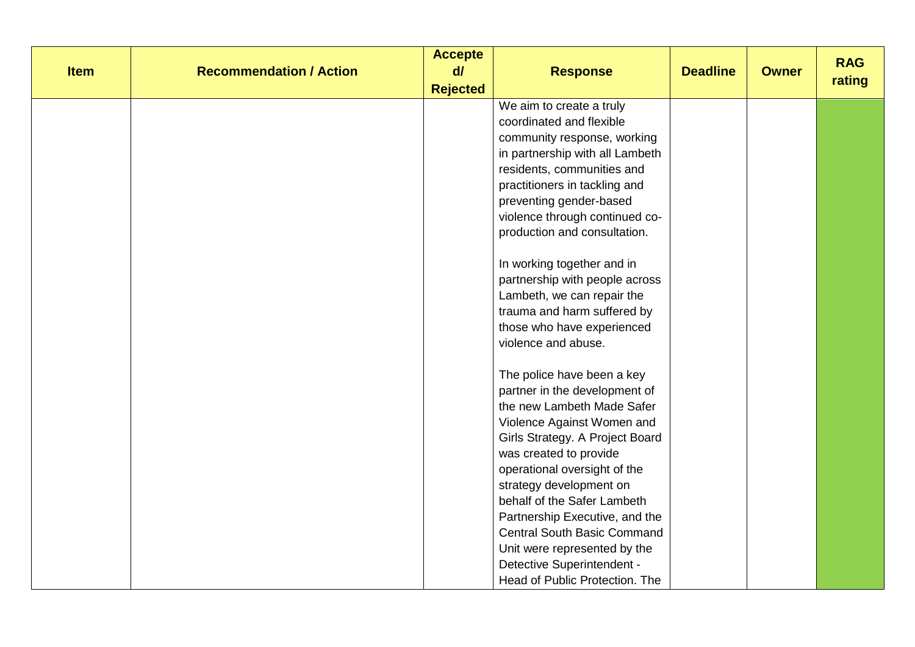| <b>Item</b> | <b>Recommendation / Action</b> | <b>Accepte</b><br>d/<br><b>Rejected</b> | <b>Response</b>                    | <b>Deadline</b> | <b>Owner</b> | <b>RAG</b><br>rating |
|-------------|--------------------------------|-----------------------------------------|------------------------------------|-----------------|--------------|----------------------|
|             |                                |                                         | We aim to create a truly           |                 |              |                      |
|             |                                |                                         | coordinated and flexible           |                 |              |                      |
|             |                                |                                         | community response, working        |                 |              |                      |
|             |                                |                                         | in partnership with all Lambeth    |                 |              |                      |
|             |                                |                                         | residents, communities and         |                 |              |                      |
|             |                                |                                         | practitioners in tackling and      |                 |              |                      |
|             |                                |                                         | preventing gender-based            |                 |              |                      |
|             |                                |                                         | violence through continued co-     |                 |              |                      |
|             |                                |                                         | production and consultation.       |                 |              |                      |
|             |                                |                                         | In working together and in         |                 |              |                      |
|             |                                |                                         | partnership with people across     |                 |              |                      |
|             |                                |                                         | Lambeth, we can repair the         |                 |              |                      |
|             |                                |                                         | trauma and harm suffered by        |                 |              |                      |
|             |                                |                                         | those who have experienced         |                 |              |                      |
|             |                                |                                         | violence and abuse.                |                 |              |                      |
|             |                                |                                         | The police have been a key         |                 |              |                      |
|             |                                |                                         | partner in the development of      |                 |              |                      |
|             |                                |                                         | the new Lambeth Made Safer         |                 |              |                      |
|             |                                |                                         | Violence Against Women and         |                 |              |                      |
|             |                                |                                         | Girls Strategy. A Project Board    |                 |              |                      |
|             |                                |                                         | was created to provide             |                 |              |                      |
|             |                                |                                         | operational oversight of the       |                 |              |                      |
|             |                                |                                         | strategy development on            |                 |              |                      |
|             |                                |                                         | behalf of the Safer Lambeth        |                 |              |                      |
|             |                                |                                         | Partnership Executive, and the     |                 |              |                      |
|             |                                |                                         | <b>Central South Basic Command</b> |                 |              |                      |
|             |                                |                                         | Unit were represented by the       |                 |              |                      |
|             |                                |                                         | Detective Superintendent -         |                 |              |                      |
|             |                                |                                         | Head of Public Protection. The     |                 |              |                      |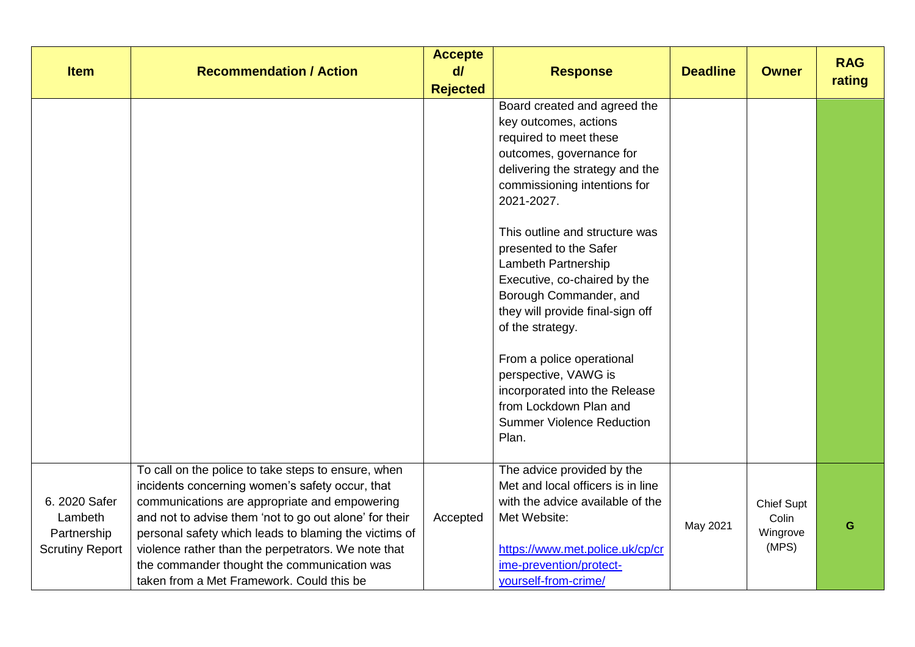| <b>Item</b>                                                       | <b>Recommendation / Action</b>                                                                                                                                                                                                                                                                                                                                                                                                | <b>Accepte</b><br>$d\vec{l}$<br><b>Rejected</b> | <b>Response</b>                                                                                                                                                                                                                                                                                                                                                                                                                                                                                                                                                | <b>Deadline</b> | <b>Owner</b>                                    | <b>RAG</b><br>rating |
|-------------------------------------------------------------------|-------------------------------------------------------------------------------------------------------------------------------------------------------------------------------------------------------------------------------------------------------------------------------------------------------------------------------------------------------------------------------------------------------------------------------|-------------------------------------------------|----------------------------------------------------------------------------------------------------------------------------------------------------------------------------------------------------------------------------------------------------------------------------------------------------------------------------------------------------------------------------------------------------------------------------------------------------------------------------------------------------------------------------------------------------------------|-----------------|-------------------------------------------------|----------------------|
|                                                                   |                                                                                                                                                                                                                                                                                                                                                                                                                               |                                                 | Board created and agreed the<br>key outcomes, actions<br>required to meet these<br>outcomes, governance for<br>delivering the strategy and the<br>commissioning intentions for<br>2021-2027.<br>This outline and structure was<br>presented to the Safer<br>Lambeth Partnership<br>Executive, co-chaired by the<br>Borough Commander, and<br>they will provide final-sign off<br>of the strategy.<br>From a police operational<br>perspective, VAWG is<br>incorporated into the Release<br>from Lockdown Plan and<br><b>Summer Violence Reduction</b><br>Plan. |                 |                                                 |                      |
| 6. 2020 Safer<br>Lambeth<br>Partnership<br><b>Scrutiny Report</b> | To call on the police to take steps to ensure, when<br>incidents concerning women's safety occur, that<br>communications are appropriate and empowering<br>and not to advise them 'not to go out alone' for their<br>personal safety which leads to blaming the victims of<br>violence rather than the perpetrators. We note that<br>the commander thought the communication was<br>taken from a Met Framework. Could this be | Accepted                                        | The advice provided by the<br>Met and local officers is in line<br>with the advice available of the<br>Met Website:<br>https://www.met.police.uk/cp/cr<br>ime-prevention/protect-<br>yourself-from-crime/                                                                                                                                                                                                                                                                                                                                                      | May 2021        | <b>Chief Supt</b><br>Colin<br>Wingrove<br>(MPS) | G                    |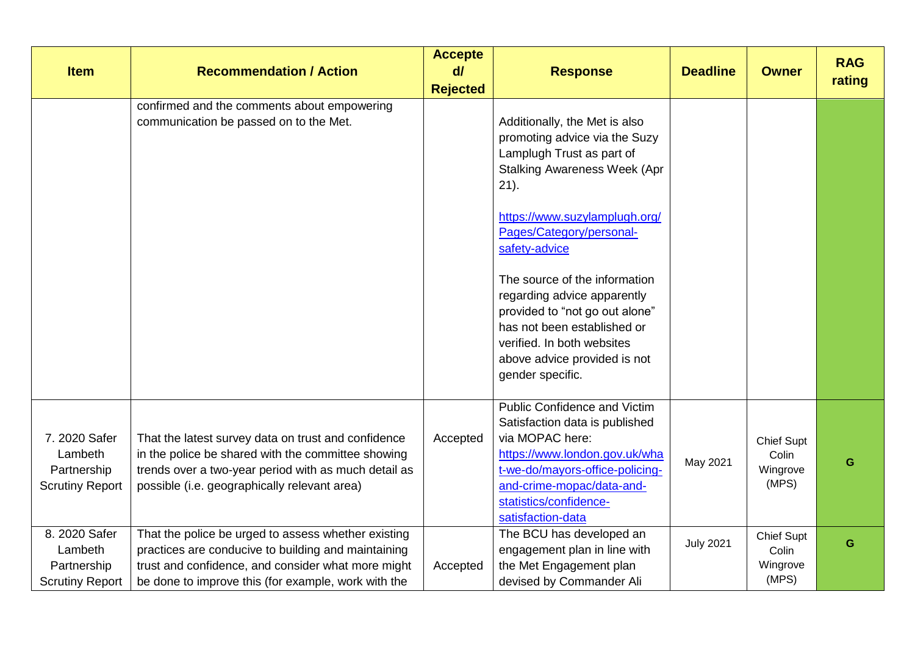| <b>Item</b>                                                       | <b>Recommendation / Action</b>                                                                                                                                                                                          | <b>Accepte</b><br>$d\vec{l}$<br><b>Rejected</b> | <b>Response</b>                                                                                                                                                                                                                                                                                                                                                                                                                                | <b>Deadline</b>  | <b>Owner</b>                                    | <b>RAG</b><br>rating |
|-------------------------------------------------------------------|-------------------------------------------------------------------------------------------------------------------------------------------------------------------------------------------------------------------------|-------------------------------------------------|------------------------------------------------------------------------------------------------------------------------------------------------------------------------------------------------------------------------------------------------------------------------------------------------------------------------------------------------------------------------------------------------------------------------------------------------|------------------|-------------------------------------------------|----------------------|
|                                                                   | confirmed and the comments about empowering<br>communication be passed on to the Met.                                                                                                                                   |                                                 | Additionally, the Met is also<br>promoting advice via the Suzy<br>Lamplugh Trust as part of<br><b>Stalking Awareness Week (Apr</b><br>$21$ ).<br>https://www.suzylamplugh.org/<br>Pages/Category/personal-<br>safety-advice<br>The source of the information<br>regarding advice apparently<br>provided to "not go out alone"<br>has not been established or<br>verified. In both websites<br>above advice provided is not<br>gender specific. |                  |                                                 |                      |
| 7. 2020 Safer<br>Lambeth<br>Partnership<br><b>Scrutiny Report</b> | That the latest survey data on trust and confidence<br>in the police be shared with the committee showing<br>trends over a two-year period with as much detail as<br>possible (i.e. geographically relevant area)       | Accepted                                        | <b>Public Confidence and Victim</b><br>Satisfaction data is published<br>via MOPAC here:<br>https://www.london.gov.uk/wha<br>t-we-do/mayors-office-policing-<br>and-crime-mopac/data-and-<br>statistics/confidence-<br>satisfaction-data                                                                                                                                                                                                       | May 2021         | <b>Chief Supt</b><br>Colin<br>Wingrove<br>(MPS) | G                    |
| 8. 2020 Safer<br>Lambeth<br>Partnership<br><b>Scrutiny Report</b> | That the police be urged to assess whether existing<br>practices are conducive to building and maintaining<br>trust and confidence, and consider what more might<br>be done to improve this (for example, work with the | Accepted                                        | The BCU has developed an<br>engagement plan in line with<br>the Met Engagement plan<br>devised by Commander Ali                                                                                                                                                                                                                                                                                                                                | <b>July 2021</b> | <b>Chief Supt</b><br>Colin<br>Wingrove<br>(MPS) | G                    |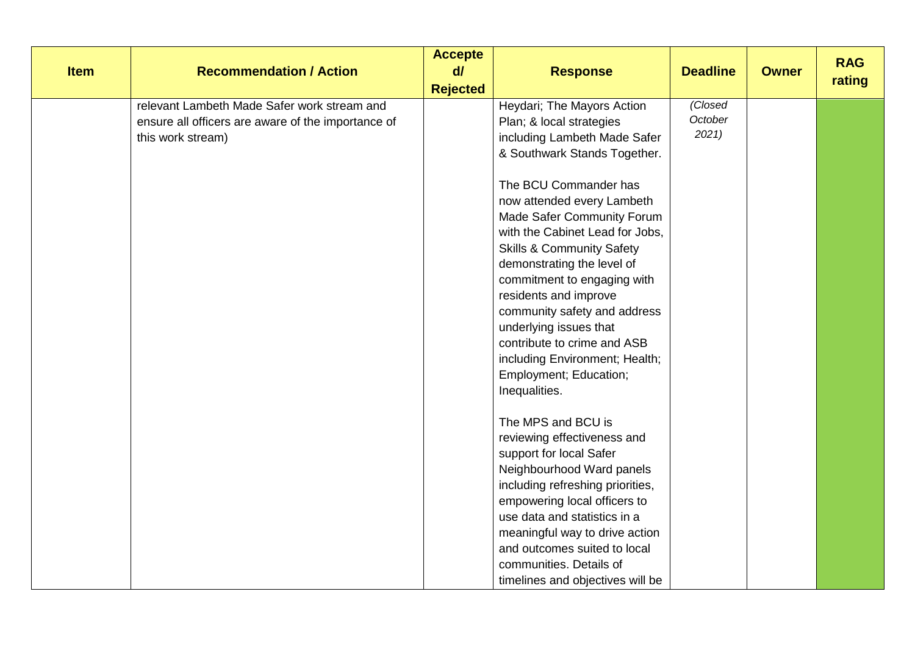| <b>Item</b> | <b>Recommendation / Action</b>                                                                                         | <b>Accepte</b><br>d/<br><b>Rejected</b> | <b>Response</b>                                                                                                                                                                                                                                                                                                                                                                                                                                                                                                                                    | <b>Deadline</b>            | <b>Owner</b> | <b>RAG</b><br>rating |
|-------------|------------------------------------------------------------------------------------------------------------------------|-----------------------------------------|----------------------------------------------------------------------------------------------------------------------------------------------------------------------------------------------------------------------------------------------------------------------------------------------------------------------------------------------------------------------------------------------------------------------------------------------------------------------------------------------------------------------------------------------------|----------------------------|--------------|----------------------|
|             | relevant Lambeth Made Safer work stream and<br>ensure all officers are aware of the importance of<br>this work stream) |                                         | Heydari; The Mayors Action<br>Plan; & local strategies<br>including Lambeth Made Safer<br>& Southwark Stands Together.<br>The BCU Commander has<br>now attended every Lambeth<br>Made Safer Community Forum<br>with the Cabinet Lead for Jobs,<br><b>Skills &amp; Community Safety</b><br>demonstrating the level of<br>commitment to engaging with<br>residents and improve<br>community safety and address<br>underlying issues that<br>contribute to crime and ASB<br>including Environment; Health;<br>Employment; Education;<br>Inequalities. | (Closed<br>October<br>2021 |              |                      |
|             |                                                                                                                        |                                         | The MPS and BCU is<br>reviewing effectiveness and<br>support for local Safer<br>Neighbourhood Ward panels<br>including refreshing priorities,<br>empowering local officers to<br>use data and statistics in a<br>meaningful way to drive action<br>and outcomes suited to local<br>communities. Details of<br>timelines and objectives will be                                                                                                                                                                                                     |                            |              |                      |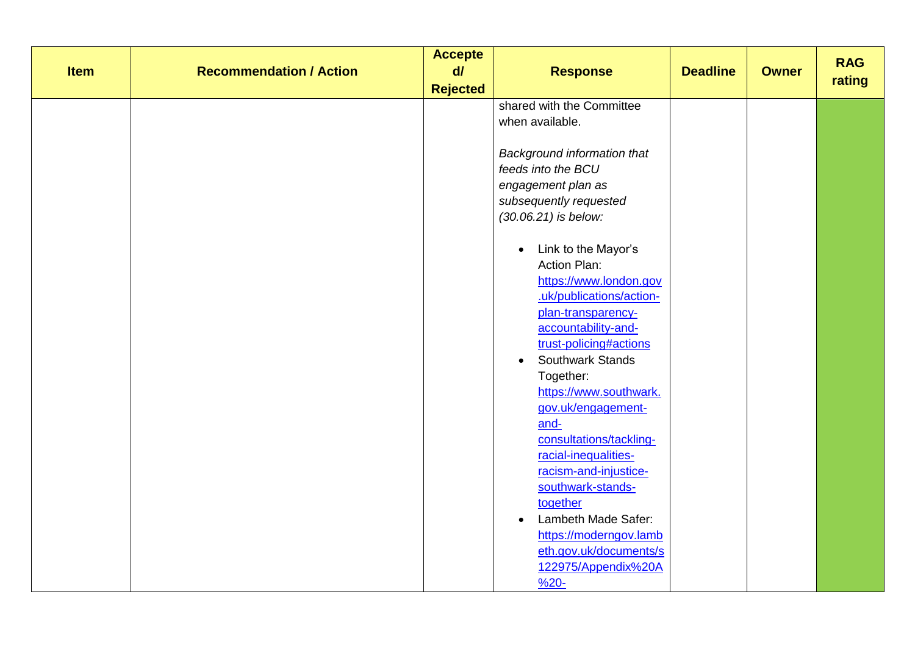| <b>Item</b> | <b>Recommendation / Action</b> | <b>Accepte</b><br>$d\theta$<br><b>Rejected</b> | <b>Response</b>                                                                                                                                                                                                                                                                                                                                                                                                                                                                                                                                                                                                                                                                                               | <b>Deadline</b> | <b>Owner</b> | <b>RAG</b><br>rating |
|-------------|--------------------------------|------------------------------------------------|---------------------------------------------------------------------------------------------------------------------------------------------------------------------------------------------------------------------------------------------------------------------------------------------------------------------------------------------------------------------------------------------------------------------------------------------------------------------------------------------------------------------------------------------------------------------------------------------------------------------------------------------------------------------------------------------------------------|-----------------|--------------|----------------------|
|             |                                |                                                | shared with the Committee<br>when available.<br>Background information that<br>feeds into the BCU<br>engagement plan as<br>subsequently requested<br>(30.06.21) is below:<br>Link to the Mayor's<br>$\bullet$<br><b>Action Plan:</b><br>https://www.london.gov<br>.uk/publications/action-<br>plan-transparency-<br>accountability-and-<br>trust-policing#actions<br>Southwark Stands<br>$\bullet$<br>Together:<br>https://www.southwark.<br>gov.uk/engagement-<br>and-<br>consultations/tackling-<br>racial-inequalities-<br>racism-and-injustice-<br>southwark-stands-<br>together<br>Lambeth Made Safer:<br>$\bullet$<br>https://moderngov.lamb<br>eth.gov.uk/documents/s<br>122975/Appendix%20A<br>$%20-$ |                 |              |                      |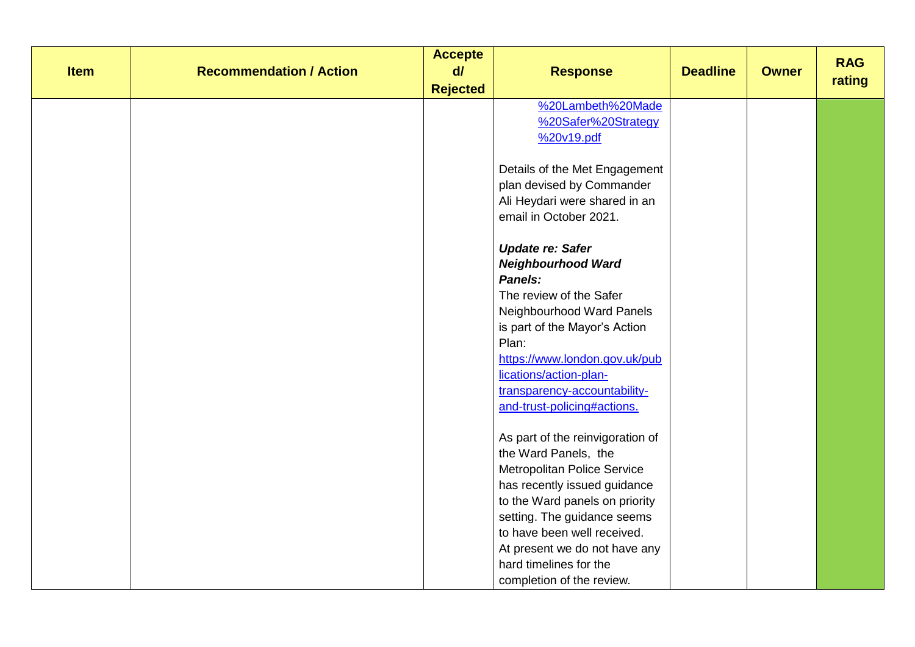| <b>Item</b> | <b>Recommendation / Action</b> | <b>Accepte</b><br>$d\theta$ | <b>Response</b>                                                                                                                                                                                                                                                                                                                                                                                                 | <b>Deadline</b> | <b>Owner</b> | <b>RAG</b><br>rating |
|-------------|--------------------------------|-----------------------------|-----------------------------------------------------------------------------------------------------------------------------------------------------------------------------------------------------------------------------------------------------------------------------------------------------------------------------------------------------------------------------------------------------------------|-----------------|--------------|----------------------|
|             |                                | <b>Rejected</b>             | %20Lambeth%20Made<br>%20Safer%20Strategy<br>%20v19.pdf<br>Details of the Met Engagement<br>plan devised by Commander<br>Ali Heydari were shared in an<br>email in October 2021.<br><b>Update re: Safer</b><br><b>Neighbourhood Ward</b><br>Panels:<br>The review of the Safer<br>Neighbourhood Ward Panels<br>is part of the Mayor's Action<br>Plan:<br>https://www.london.gov.uk/pub<br>lications/action-plan- |                 |              |                      |
|             |                                |                             | transparency-accountability-<br>and-trust-policing#actions.<br>As part of the reinvigoration of<br>the Ward Panels, the<br><b>Metropolitan Police Service</b><br>has recently issued guidance<br>to the Ward panels on priority<br>setting. The guidance seems<br>to have been well received.<br>At present we do not have any<br>hard timelines for the<br>completion of the review.                           |                 |              |                      |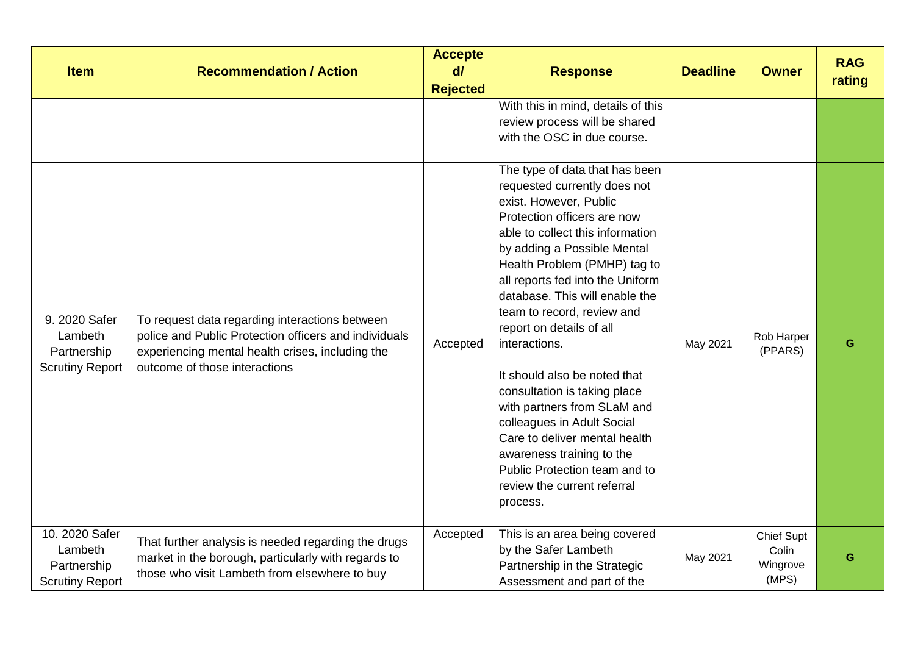| <b>Item</b>                                                        | <b>Recommendation / Action</b>                                                                                                                                                               | <b>Accepte</b><br>$d\vec{l}$<br><b>Rejected</b> | <b>Response</b>                                                                                                                                                                                                                                                                                                                                                                                                                                                                                                                                                                                                                                    | <b>Deadline</b> | <b>Owner</b>                                    | <b>RAG</b><br>rating |
|--------------------------------------------------------------------|----------------------------------------------------------------------------------------------------------------------------------------------------------------------------------------------|-------------------------------------------------|----------------------------------------------------------------------------------------------------------------------------------------------------------------------------------------------------------------------------------------------------------------------------------------------------------------------------------------------------------------------------------------------------------------------------------------------------------------------------------------------------------------------------------------------------------------------------------------------------------------------------------------------------|-----------------|-------------------------------------------------|----------------------|
|                                                                    |                                                                                                                                                                                              |                                                 | With this in mind, details of this<br>review process will be shared<br>with the OSC in due course.                                                                                                                                                                                                                                                                                                                                                                                                                                                                                                                                                 |                 |                                                 |                      |
| 9. 2020 Safer<br>Lambeth<br>Partnership<br><b>Scrutiny Report</b>  | To request data regarding interactions between<br>police and Public Protection officers and individuals<br>experiencing mental health crises, including the<br>outcome of those interactions | Accepted                                        | The type of data that has been<br>requested currently does not<br>exist. However, Public<br>Protection officers are now<br>able to collect this information<br>by adding a Possible Mental<br>Health Problem (PMHP) tag to<br>all reports fed into the Uniform<br>database. This will enable the<br>team to record, review and<br>report on details of all<br>interactions.<br>It should also be noted that<br>consultation is taking place<br>with partners from SLaM and<br>colleagues in Adult Social<br>Care to deliver mental health<br>awareness training to the<br>Public Protection team and to<br>review the current referral<br>process. | May 2021        | Rob Harper<br>(PPARS)                           | G                    |
| 10. 2020 Safer<br>Lambeth<br>Partnership<br><b>Scrutiny Report</b> | That further analysis is needed regarding the drugs<br>market in the borough, particularly with regards to<br>those who visit Lambeth from elsewhere to buy                                  | Accepted                                        | This is an area being covered<br>by the Safer Lambeth<br>Partnership in the Strategic<br>Assessment and part of the                                                                                                                                                                                                                                                                                                                                                                                                                                                                                                                                | May 2021        | <b>Chief Supt</b><br>Colin<br>Wingrove<br>(MPS) | G                    |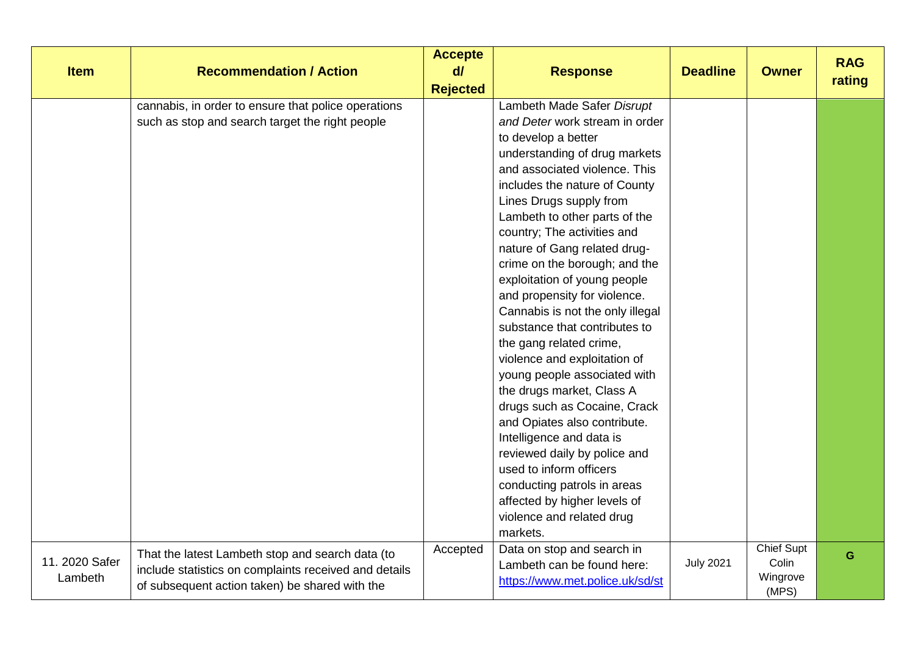| <b>Item</b>               | <b>Recommendation / Action</b>                                                                                                                              | <b>Accepte</b><br>d/<br><b>Rejected</b> | <b>Response</b>                                                                                                                                                                                                                                                                                                                                                                                                                                                                                                                                                                                                                                                                                                                                                                                                                                                                | <b>Deadline</b>  | <b>Owner</b>                                    | <b>RAG</b><br>rating |
|---------------------------|-------------------------------------------------------------------------------------------------------------------------------------------------------------|-----------------------------------------|--------------------------------------------------------------------------------------------------------------------------------------------------------------------------------------------------------------------------------------------------------------------------------------------------------------------------------------------------------------------------------------------------------------------------------------------------------------------------------------------------------------------------------------------------------------------------------------------------------------------------------------------------------------------------------------------------------------------------------------------------------------------------------------------------------------------------------------------------------------------------------|------------------|-------------------------------------------------|----------------------|
|                           | cannabis, in order to ensure that police operations<br>such as stop and search target the right people                                                      |                                         | Lambeth Made Safer Disrupt<br>and Deter work stream in order<br>to develop a better<br>understanding of drug markets<br>and associated violence. This<br>includes the nature of County<br>Lines Drugs supply from<br>Lambeth to other parts of the<br>country; The activities and<br>nature of Gang related drug-<br>crime on the borough; and the<br>exploitation of young people<br>and propensity for violence.<br>Cannabis is not the only illegal<br>substance that contributes to<br>the gang related crime,<br>violence and exploitation of<br>young people associated with<br>the drugs market, Class A<br>drugs such as Cocaine, Crack<br>and Opiates also contribute.<br>Intelligence and data is<br>reviewed daily by police and<br>used to inform officers<br>conducting patrols in areas<br>affected by higher levels of<br>violence and related drug<br>markets. |                  |                                                 |                      |
| 11. 2020 Safer<br>Lambeth | That the latest Lambeth stop and search data (to<br>include statistics on complaints received and details<br>of subsequent action taken) be shared with the | Accepted                                | Data on stop and search in<br>Lambeth can be found here:<br>https://www.met.police.uk/sd/st                                                                                                                                                                                                                                                                                                                                                                                                                                                                                                                                                                                                                                                                                                                                                                                    | <b>July 2021</b> | <b>Chief Supt</b><br>Colin<br>Wingrove<br>(MPS) | G                    |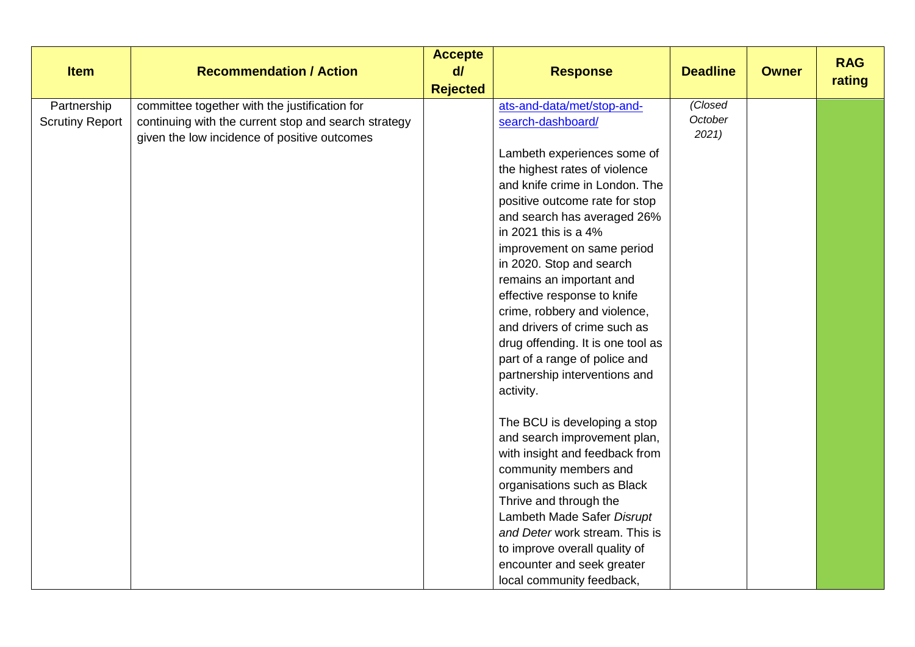| <b>Item</b>                           | <b>Recommendation / Action</b>                                                                                                                        | <b>Accepte</b><br>$d\theta$<br><b>Rejected</b> | <b>Response</b>                                                                                                                                                                                                                                                                                                                                                                                                                                                                                                                                     | <b>Deadline</b>           | <b>Owner</b> | <b>RAG</b><br>rating |
|---------------------------------------|-------------------------------------------------------------------------------------------------------------------------------------------------------|------------------------------------------------|-----------------------------------------------------------------------------------------------------------------------------------------------------------------------------------------------------------------------------------------------------------------------------------------------------------------------------------------------------------------------------------------------------------------------------------------------------------------------------------------------------------------------------------------------------|---------------------------|--------------|----------------------|
| Partnership<br><b>Scrutiny Report</b> | committee together with the justification for<br>continuing with the current stop and search strategy<br>given the low incidence of positive outcomes |                                                | ats-and-data/met/stop-and-<br>search-dashboard/<br>Lambeth experiences some of<br>the highest rates of violence<br>and knife crime in London. The<br>positive outcome rate for stop<br>and search has averaged 26%<br>in 2021 this is a 4%<br>improvement on same period<br>in 2020. Stop and search<br>remains an important and<br>effective response to knife<br>crime, robbery and violence,<br>and drivers of crime such as<br>drug offending. It is one tool as<br>part of a range of police and<br>partnership interventions and<br>activity. | Closed<br>October<br>2021 |              |                      |
|                                       |                                                                                                                                                       |                                                | The BCU is developing a stop<br>and search improvement plan,<br>with insight and feedback from<br>community members and<br>organisations such as Black<br>Thrive and through the<br>Lambeth Made Safer Disrupt<br>and Deter work stream. This is<br>to improve overall quality of<br>encounter and seek greater<br>local community feedback,                                                                                                                                                                                                        |                           |              |                      |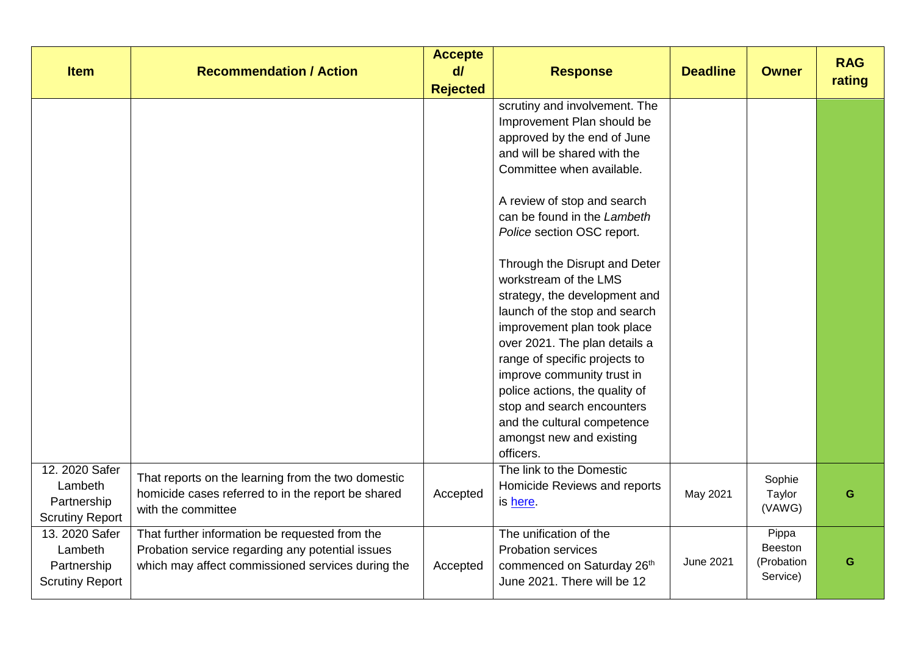| <b>Item</b>                                                        | <b>Recommendation / Action</b>                                                                                                                          | <b>Accepte</b><br>$d\vec{l}$<br><b>Rejected</b> | <b>Response</b>                                                                                                                                                                                                                                                                                                                                                                                                                                                                                                                                                                                                                                       | <b>Deadline</b>  | <b>Owner</b>                               | <b>RAG</b><br>rating |
|--------------------------------------------------------------------|---------------------------------------------------------------------------------------------------------------------------------------------------------|-------------------------------------------------|-------------------------------------------------------------------------------------------------------------------------------------------------------------------------------------------------------------------------------------------------------------------------------------------------------------------------------------------------------------------------------------------------------------------------------------------------------------------------------------------------------------------------------------------------------------------------------------------------------------------------------------------------------|------------------|--------------------------------------------|----------------------|
|                                                                    |                                                                                                                                                         |                                                 | scrutiny and involvement. The<br>Improvement Plan should be<br>approved by the end of June<br>and will be shared with the<br>Committee when available.<br>A review of stop and search<br>can be found in the Lambeth<br>Police section OSC report.<br>Through the Disrupt and Deter<br>workstream of the LMS<br>strategy, the development and<br>launch of the stop and search<br>improvement plan took place<br>over 2021. The plan details a<br>range of specific projects to<br>improve community trust in<br>police actions, the quality of<br>stop and search encounters<br>and the cultural competence<br>amongst new and existing<br>officers. |                  |                                            |                      |
| 12. 2020 Safer<br>Lambeth<br>Partnership<br><b>Scrutiny Report</b> | That reports on the learning from the two domestic<br>homicide cases referred to in the report be shared<br>with the committee                          | Accepted                                        | The link to the Domestic<br>Homicide Reviews and reports<br>is here.                                                                                                                                                                                                                                                                                                                                                                                                                                                                                                                                                                                  | May 2021         | Sophie<br>Taylor<br>(VAWG)                 | G                    |
| 13. 2020 Safer<br>Lambeth<br>Partnership<br><b>Scrutiny Report</b> | That further information be requested from the<br>Probation service regarding any potential issues<br>which may affect commissioned services during the | Accepted                                        | The unification of the<br><b>Probation services</b><br>commenced on Saturday 26th<br>June 2021. There will be 12                                                                                                                                                                                                                                                                                                                                                                                                                                                                                                                                      | <b>June 2021</b> | Pippa<br>Beeston<br>(Probation<br>Service) | G                    |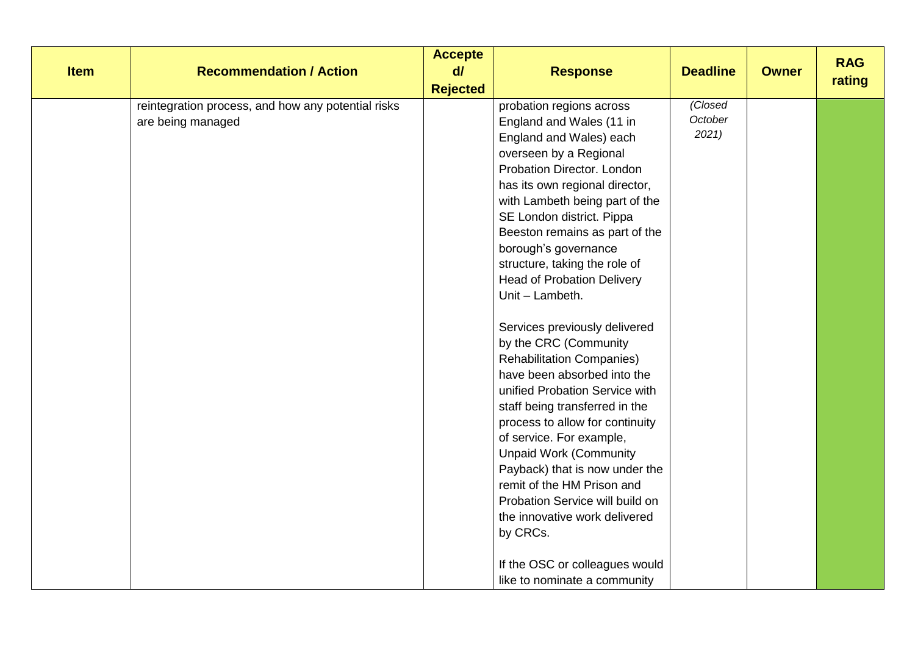| <b>Item</b> | <b>Recommendation / Action</b>                                          | <b>Accepte</b><br>$d\ell$<br><b>Rejected</b> | <b>Response</b>                                                                                                                                                                                                                                                                                                                                                                                                                                                                                                                                                                                                                                                                                                                                                                                                                                                                | <b>Deadline</b>            | <b>Owner</b> | <b>RAG</b><br>rating |
|-------------|-------------------------------------------------------------------------|----------------------------------------------|--------------------------------------------------------------------------------------------------------------------------------------------------------------------------------------------------------------------------------------------------------------------------------------------------------------------------------------------------------------------------------------------------------------------------------------------------------------------------------------------------------------------------------------------------------------------------------------------------------------------------------------------------------------------------------------------------------------------------------------------------------------------------------------------------------------------------------------------------------------------------------|----------------------------|--------------|----------------------|
|             | reintegration process, and how any potential risks<br>are being managed |                                              | probation regions across<br>England and Wales (11 in<br>England and Wales) each<br>overseen by a Regional<br>Probation Director. London<br>has its own regional director,<br>with Lambeth being part of the<br>SE London district. Pippa<br>Beeston remains as part of the<br>borough's governance<br>structure, taking the role of<br><b>Head of Probation Delivery</b><br>Unit - Lambeth.<br>Services previously delivered<br>by the CRC (Community<br><b>Rehabilitation Companies)</b><br>have been absorbed into the<br>unified Probation Service with<br>staff being transferred in the<br>process to allow for continuity<br>of service. For example,<br><b>Unpaid Work (Community</b><br>Payback) that is now under the<br>remit of the HM Prison and<br>Probation Service will build on<br>the innovative work delivered<br>by CRCs.<br>If the OSC or colleagues would | (Closed<br>October<br>2021 |              |                      |
|             |                                                                         |                                              | like to nominate a community                                                                                                                                                                                                                                                                                                                                                                                                                                                                                                                                                                                                                                                                                                                                                                                                                                                   |                            |              |                      |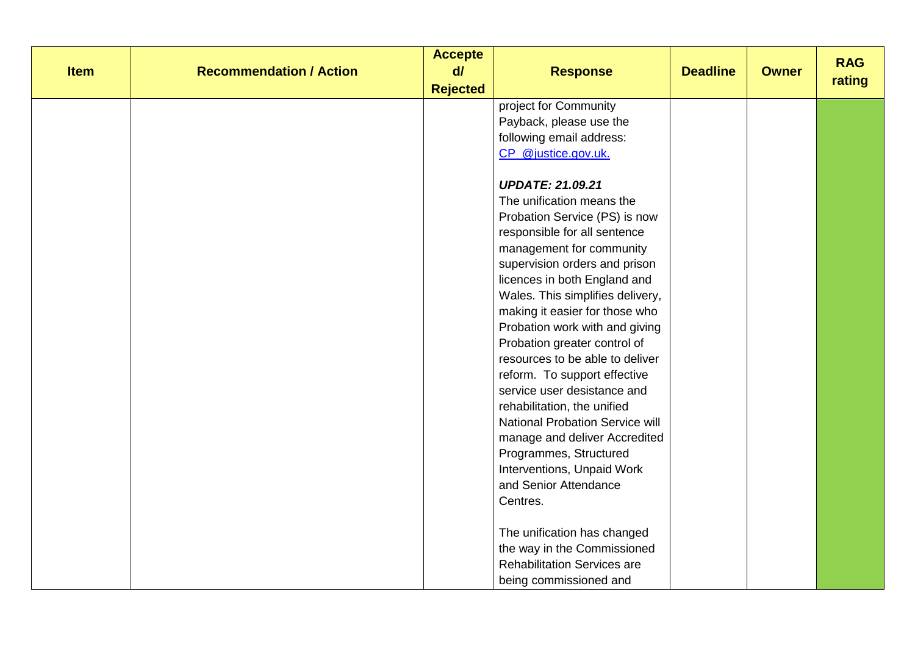| <b>Item</b> | <b>Recommendation / Action</b> | <b>Accepte</b><br>$d\theta$<br><b>Rejected</b> | <b>Response</b>                        | <b>Deadline</b> | <b>Owner</b> | <b>RAG</b><br>rating |
|-------------|--------------------------------|------------------------------------------------|----------------------------------------|-----------------|--------------|----------------------|
|             |                                |                                                | project for Community                  |                 |              |                      |
|             |                                |                                                | Payback, please use the                |                 |              |                      |
|             |                                |                                                | following email address:               |                 |              |                      |
|             |                                |                                                | CP_@justice.gov.uk.                    |                 |              |                      |
|             |                                |                                                |                                        |                 |              |                      |
|             |                                |                                                | <b>UPDATE: 21.09.21</b>                |                 |              |                      |
|             |                                |                                                | The unification means the              |                 |              |                      |
|             |                                |                                                | Probation Service (PS) is now          |                 |              |                      |
|             |                                |                                                | responsible for all sentence           |                 |              |                      |
|             |                                |                                                | management for community               |                 |              |                      |
|             |                                |                                                | supervision orders and prison          |                 |              |                      |
|             |                                |                                                | licences in both England and           |                 |              |                      |
|             |                                |                                                | Wales. This simplifies delivery,       |                 |              |                      |
|             |                                |                                                | making it easier for those who         |                 |              |                      |
|             |                                |                                                | Probation work with and giving         |                 |              |                      |
|             |                                |                                                | Probation greater control of           |                 |              |                      |
|             |                                |                                                | resources to be able to deliver        |                 |              |                      |
|             |                                |                                                | reform. To support effective           |                 |              |                      |
|             |                                |                                                | service user desistance and            |                 |              |                      |
|             |                                |                                                | rehabilitation, the unified            |                 |              |                      |
|             |                                |                                                | <b>National Probation Service will</b> |                 |              |                      |
|             |                                |                                                | manage and deliver Accredited          |                 |              |                      |
|             |                                |                                                | Programmes, Structured                 |                 |              |                      |
|             |                                |                                                | Interventions, Unpaid Work             |                 |              |                      |
|             |                                |                                                | and Senior Attendance                  |                 |              |                      |
|             |                                |                                                | Centres.                               |                 |              |                      |
|             |                                |                                                | The unification has changed            |                 |              |                      |
|             |                                |                                                | the way in the Commissioned            |                 |              |                      |
|             |                                |                                                | <b>Rehabilitation Services are</b>     |                 |              |                      |
|             |                                |                                                | being commissioned and                 |                 |              |                      |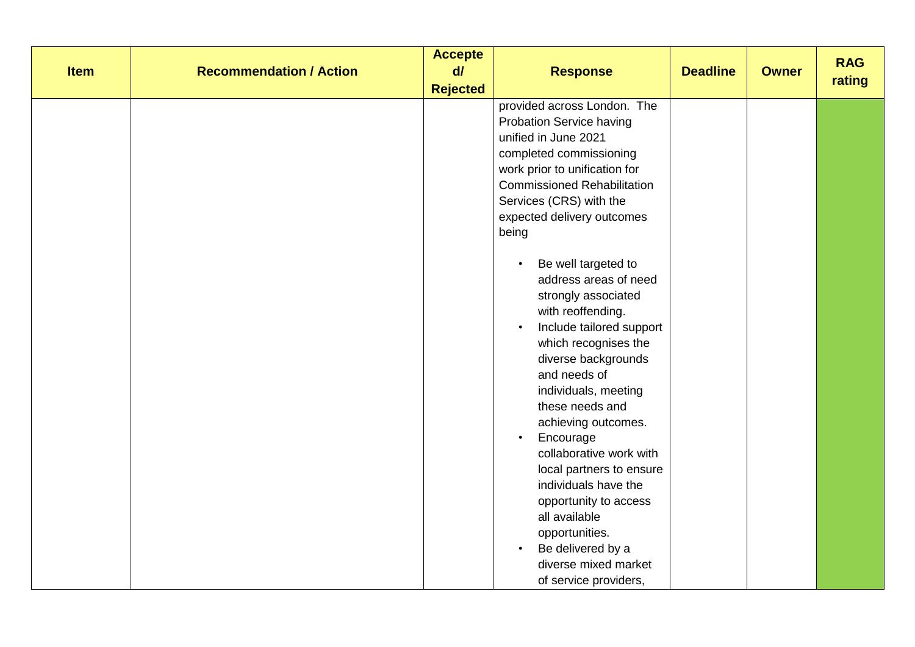| <b>Item</b> | <b>Recommendation / Action</b> | <b>Accepte</b><br>$d\vec{l}$ | <b>Response</b>                    | <b>Deadline</b> | <b>Owner</b> | <b>RAG</b><br>rating |
|-------------|--------------------------------|------------------------------|------------------------------------|-----------------|--------------|----------------------|
|             |                                | <b>Rejected</b>              |                                    |                 |              |                      |
|             |                                |                              | provided across London. The        |                 |              |                      |
|             |                                |                              | <b>Probation Service having</b>    |                 |              |                      |
|             |                                |                              | unified in June 2021               |                 |              |                      |
|             |                                |                              | completed commissioning            |                 |              |                      |
|             |                                |                              | work prior to unification for      |                 |              |                      |
|             |                                |                              | <b>Commissioned Rehabilitation</b> |                 |              |                      |
|             |                                |                              | Services (CRS) with the            |                 |              |                      |
|             |                                |                              | expected delivery outcomes         |                 |              |                      |
|             |                                |                              | being                              |                 |              |                      |
|             |                                |                              |                                    |                 |              |                      |
|             |                                |                              | Be well targeted to                |                 |              |                      |
|             |                                |                              | address areas of need              |                 |              |                      |
|             |                                |                              | strongly associated                |                 |              |                      |
|             |                                |                              | with reoffending.                  |                 |              |                      |
|             |                                |                              | Include tailored support           |                 |              |                      |
|             |                                |                              | which recognises the               |                 |              |                      |
|             |                                |                              | diverse backgrounds                |                 |              |                      |
|             |                                |                              | and needs of                       |                 |              |                      |
|             |                                |                              | individuals, meeting               |                 |              |                      |
|             |                                |                              | these needs and                    |                 |              |                      |
|             |                                |                              | achieving outcomes.                |                 |              |                      |
|             |                                |                              | Encourage                          |                 |              |                      |
|             |                                |                              | collaborative work with            |                 |              |                      |
|             |                                |                              | local partners to ensure           |                 |              |                      |
|             |                                |                              | individuals have the               |                 |              |                      |
|             |                                |                              | opportunity to access              |                 |              |                      |
|             |                                |                              | all available                      |                 |              |                      |
|             |                                |                              | opportunities.                     |                 |              |                      |
|             |                                |                              | Be delivered by a<br>$\bullet$     |                 |              |                      |
|             |                                |                              | diverse mixed market               |                 |              |                      |
|             |                                |                              | of service providers,              |                 |              |                      |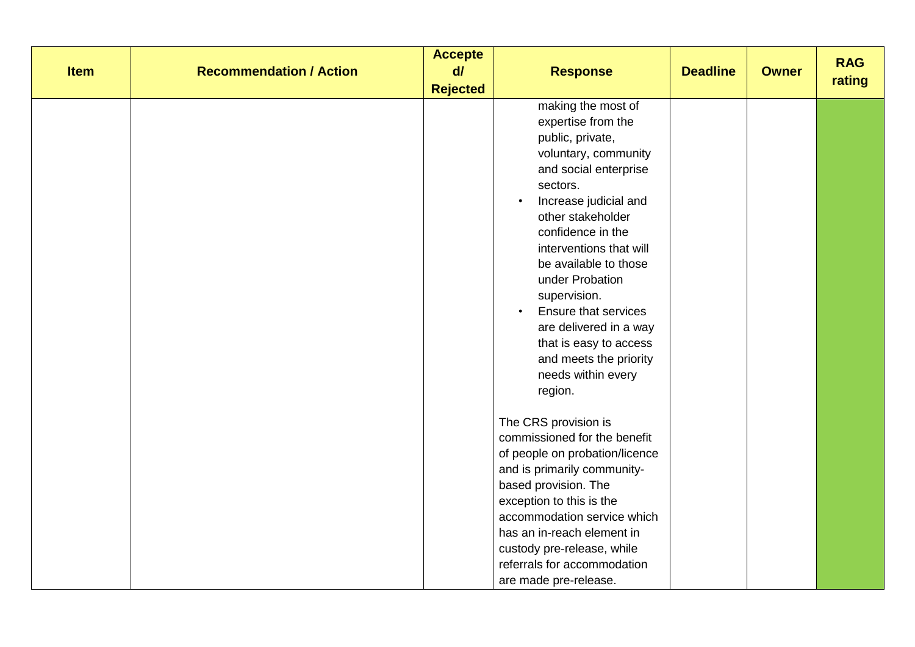| <b>Item</b> | <b>Recommendation / Action</b> | <b>Accepte</b><br>$d\vec{l}$<br><b>Rejected</b> | <b>Response</b>                                                                                                                                                                                                                                                                                                                                                                                                                                             | <b>Deadline</b> | <b>Owner</b> | <b>RAG</b><br>rating |
|-------------|--------------------------------|-------------------------------------------------|-------------------------------------------------------------------------------------------------------------------------------------------------------------------------------------------------------------------------------------------------------------------------------------------------------------------------------------------------------------------------------------------------------------------------------------------------------------|-----------------|--------------|----------------------|
|             |                                |                                                 | making the most of<br>expertise from the<br>public, private,<br>voluntary, community<br>and social enterprise<br>sectors.<br>Increase judicial and<br>$\bullet$<br>other stakeholder<br>confidence in the<br>interventions that will<br>be available to those<br>under Probation<br>supervision.<br><b>Ensure that services</b><br>$\bullet$<br>are delivered in a way<br>that is easy to access<br>and meets the priority<br>needs within every<br>region. |                 |              |                      |
|             |                                |                                                 | The CRS provision is<br>commissioned for the benefit<br>of people on probation/licence<br>and is primarily community-<br>based provision. The<br>exception to this is the<br>accommodation service which<br>has an in-reach element in<br>custody pre-release, while<br>referrals for accommodation<br>are made pre-release.                                                                                                                                |                 |              |                      |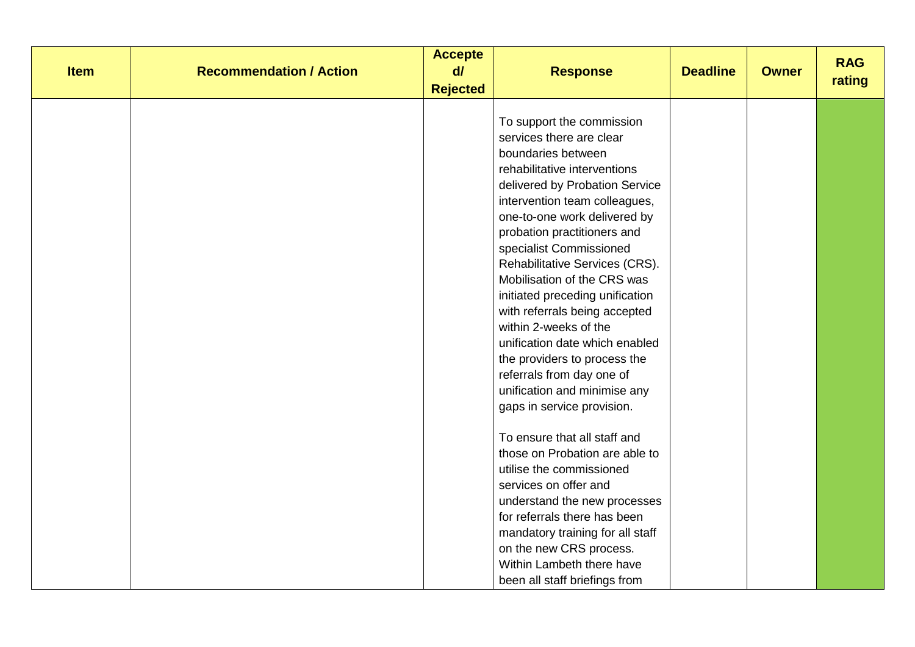|             |                                | <b>Accepte</b><br>$d\theta$ |                                  |                 |              | <b>RAG</b> |
|-------------|--------------------------------|-----------------------------|----------------------------------|-----------------|--------------|------------|
| <b>Item</b> | <b>Recommendation / Action</b> |                             | <b>Response</b>                  | <b>Deadline</b> | <b>Owner</b> | rating     |
|             |                                | <b>Rejected</b>             |                                  |                 |              |            |
|             |                                |                             |                                  |                 |              |            |
|             |                                |                             | To support the commission        |                 |              |            |
|             |                                |                             | services there are clear         |                 |              |            |
|             |                                |                             | boundaries between               |                 |              |            |
|             |                                |                             | rehabilitative interventions     |                 |              |            |
|             |                                |                             | delivered by Probation Service   |                 |              |            |
|             |                                |                             | intervention team colleagues,    |                 |              |            |
|             |                                |                             | one-to-one work delivered by     |                 |              |            |
|             |                                |                             | probation practitioners and      |                 |              |            |
|             |                                |                             | specialist Commissioned          |                 |              |            |
|             |                                |                             | Rehabilitative Services (CRS).   |                 |              |            |
|             |                                |                             | Mobilisation of the CRS was      |                 |              |            |
|             |                                |                             | initiated preceding unification  |                 |              |            |
|             |                                |                             | with referrals being accepted    |                 |              |            |
|             |                                |                             | within 2-weeks of the            |                 |              |            |
|             |                                |                             | unification date which enabled   |                 |              |            |
|             |                                |                             | the providers to process the     |                 |              |            |
|             |                                |                             | referrals from day one of        |                 |              |            |
|             |                                |                             | unification and minimise any     |                 |              |            |
|             |                                |                             | gaps in service provision.       |                 |              |            |
|             |                                |                             | To ensure that all staff and     |                 |              |            |
|             |                                |                             | those on Probation are able to   |                 |              |            |
|             |                                |                             | utilise the commissioned         |                 |              |            |
|             |                                |                             |                                  |                 |              |            |
|             |                                |                             | services on offer and            |                 |              |            |
|             |                                |                             | understand the new processes     |                 |              |            |
|             |                                |                             | for referrals there has been     |                 |              |            |
|             |                                |                             | mandatory training for all staff |                 |              |            |
|             |                                |                             | on the new CRS process.          |                 |              |            |
|             |                                |                             | Within Lambeth there have        |                 |              |            |
|             |                                |                             | been all staff briefings from    |                 |              |            |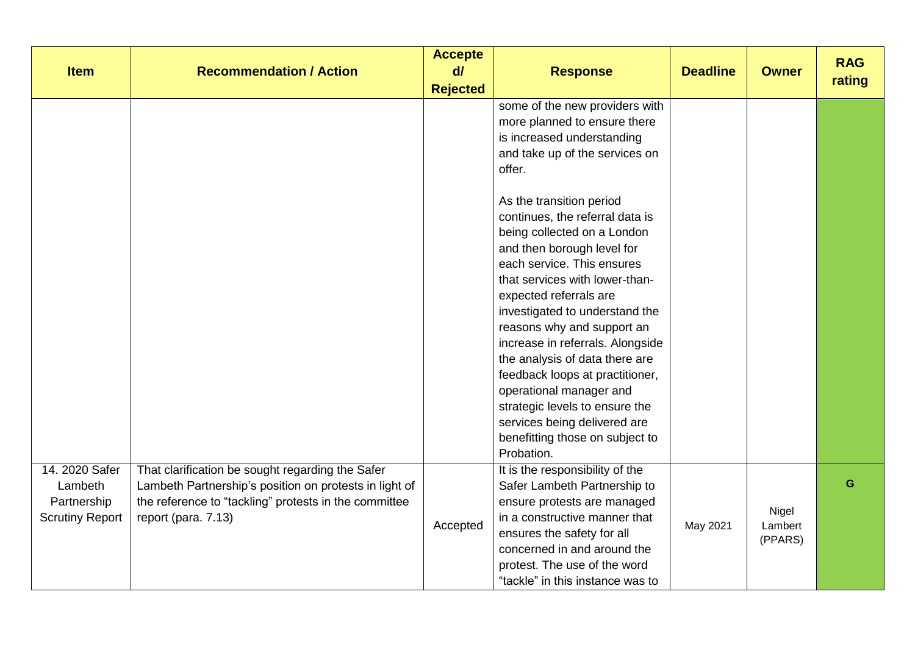| <b>Item</b>                                                        | <b>Recommendation / Action</b>                                                                                                                                                             | <b>Accepte</b><br>$d\ell$<br><b>Rejected</b> | <b>Response</b>                                                                                                                                                                                                                                                                                                                                                                                                                                                                                                                                                                                                                                                                       | <b>Deadline</b> | <b>Owner</b>                | <b>RAG</b><br>rating |
|--------------------------------------------------------------------|--------------------------------------------------------------------------------------------------------------------------------------------------------------------------------------------|----------------------------------------------|---------------------------------------------------------------------------------------------------------------------------------------------------------------------------------------------------------------------------------------------------------------------------------------------------------------------------------------------------------------------------------------------------------------------------------------------------------------------------------------------------------------------------------------------------------------------------------------------------------------------------------------------------------------------------------------|-----------------|-----------------------------|----------------------|
|                                                                    |                                                                                                                                                                                            |                                              | some of the new providers with<br>more planned to ensure there<br>is increased understanding<br>and take up of the services on<br>offer.<br>As the transition period<br>continues, the referral data is<br>being collected on a London<br>and then borough level for<br>each service. This ensures<br>that services with lower-than-<br>expected referrals are<br>investigated to understand the<br>reasons why and support an<br>increase in referrals. Alongside<br>the analysis of data there are<br>feedback loops at practitioner,<br>operational manager and<br>strategic levels to ensure the<br>services being delivered are<br>benefitting those on subject to<br>Probation. |                 |                             |                      |
| 14. 2020 Safer<br>Lambeth<br>Partnership<br><b>Scrutiny Report</b> | That clarification be sought regarding the Safer<br>Lambeth Partnership's position on protests in light of<br>the reference to "tackling" protests in the committee<br>report (para. 7.13) | Accepted                                     | It is the responsibility of the<br>Safer Lambeth Partnership to<br>ensure protests are managed<br>in a constructive manner that<br>ensures the safety for all<br>concerned in and around the<br>protest. The use of the word<br>"tackle" in this instance was to                                                                                                                                                                                                                                                                                                                                                                                                                      | May 2021        | Nigel<br>Lambert<br>(PPARS) | G                    |